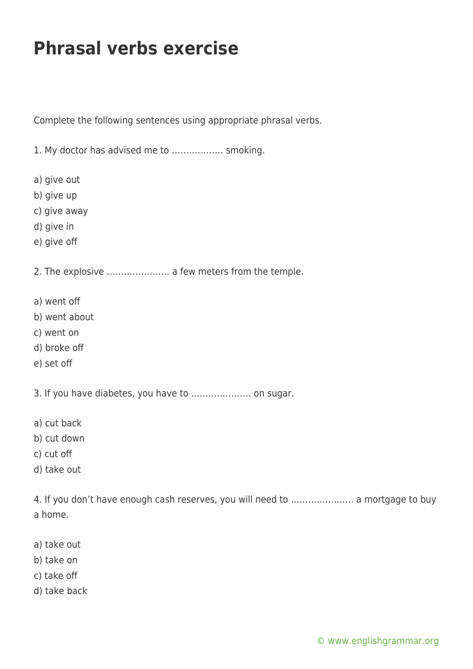## **Phrasal verbs exercise**

Complete the following sentences using appropriate phrasal verbs.

1. My doctor has advised me to ……………… smoking.

- a) give out
- b) give up
- c) give away
- d) give in
- e) give off

2. The explosive …………………. a few meters from the temple.

- a) went off
- b) went about
- c) went on
- d) broke off
- e) set off

3. If you have diabetes, you have to ………………… on sugar.

- a) cut back
- b) cut down
- c) cut off
- d) take out

4. If you don't have enough cash reserves, you will need to …………………. a mortgage to buy a home.

- a) take out
- b) take on
- c) take off
- d) take back